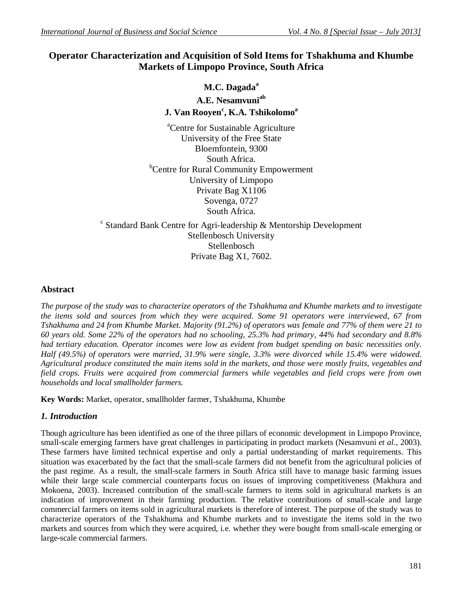# **Operator Characterization and Acquisition of Sold Items for Tshakhuma and Khumbe Markets of Limpopo Province, South Africa**

# **M.C. Dagada<sup>a</sup> A.E. Nesamvuniab J. Van Rooyen<sup>c</sup> , K.A. Tshikolomo<sup>a</sup>**

<sup>a</sup>Centre for Sustainable Agriculture University of the Free State Bloemfontein, 9300 South Africa. **b**Centre for Rural Community Empowerment University of Limpopo Private Bag X1106 Sovenga, 0727 South Africa.

c Standard Bank Centre for Agri-leadership & Mentorship Development Stellenbosch University Stellenbosch Private Bag X1, 7602.

#### **Abstract**

*The purpose of the study was to characterize operators of the Tshakhuma and Khumbe markets and to investigate the items sold and sources from which they were acquired. Some 91 operators were interviewed, 67 from Tshakhuma and 24 from Khumbe Market. Majority (91.2%) of operators was female and 77% of them were 21 to 60 years old. Some 22% of the operators had no schooling, 25.3% had primary, 44% had secondary and 8.8% had tertiary education. Operator incomes were low as evident from budget spending on basic necessities only. Half (49.5%) of operators were married, 31.9% were single, 3.3% were divorced while 15.4% were widowed. Agricultural produce constituted the main items sold in the markets, and those were mostly fruits, vegetables and field crops. Fruits were acquired from commercial farmers while vegetables and field crops were from own households and local smallholder farmers.* 

**Key Words:** Market, operator, smallholder farmer, Tshakhuma, Khumbe

## *1. Introduction*

Though agriculture has been identified as one of the three pillars of economic development in Limpopo Province, small-scale emerging farmers have great challenges in participating in product markets (Nesamvuni *et al.,* 2003). These farmers have limited technical expertise and only a partial understanding of market requirements. This situation was exacerbated by the fact that the small-scale farmers did not benefit from the agricultural policies of the past regime. As a result, the small-scale farmers in South Africa still have to manage basic farming issues while their large scale commercial counterparts focus on issues of improving competitiveness (Makhura and Mokoena, 2003). Increased contribution of the small-scale farmers to items sold in agricultural markets is an indication of improvement in their farming production. The relative contributions of small-scale and large commercial farmers on items sold in agricultural markets is therefore of interest. The purpose of the study was to characterize operators of the Tshakhuma and Khumbe markets and to investigate the items sold in the two markets and sources from which they were acquired, i.e. whether they were bought from small-scale emerging or large-scale commercial farmers.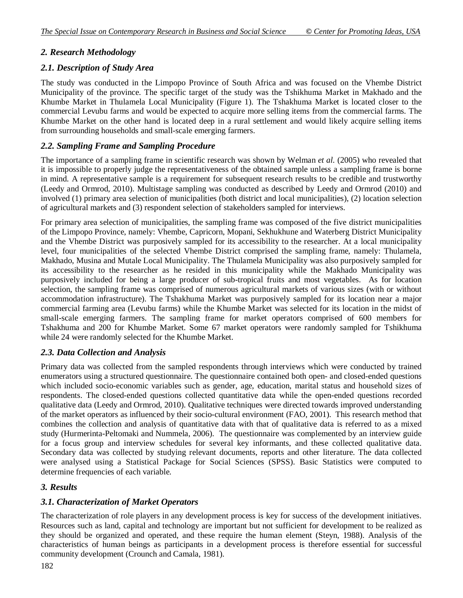## *2. Research Methodology*

### *2.1. Description of Study Area*

The study was conducted in the Limpopo Province of South Africa and was focused on the Vhembe District Municipality of the province. The specific target of the study was the Tshikhuma Market in Makhado and the Khumbe Market in Thulamela Local Municipality (Figure 1). The Tshakhuma Market is located closer to the commercial Levubu farms and would be expected to acquire more selling items from the commercial farms. The Khumbe Market on the other hand is located deep in a rural settlement and would likely acquire selling items from surrounding households and small-scale emerging farmers.

### *2.2. Sampling Frame and Sampling Procedure*

The importance of a sampling frame in scientific research was shown by Welman *et al.* (2005) who revealed that it is impossible to properly judge the representativeness of the obtained sample unless a sampling frame is borne in mind. A representative sample is a requirement for subsequent research results to be credible and trustworthy (Leedy and Ormrod, 2010). Multistage sampling was conducted as described by Leedy and Ormrod (2010) and involved (1) primary area selection of municipalities (both district and local municipalities), (2) location selection of agricultural markets and (3) respondent selection of stakeholders sampled for interviews.

For primary area selection of municipalities, the sampling frame was composed of the five district municipalities of the Limpopo Province, namely: Vhembe, Capricorn, Mopani, Sekhukhune and Waterberg District Municipality and the Vhembe District was purposively sampled for its accessibility to the researcher. At a local municipality level, four municipalities of the selected Vhembe District comprised the sampling frame, namely: Thulamela, Makhado, Musina and Mutale Local Municipality. The Thulamela Municipality was also purposively sampled for its accessibility to the researcher as he resided in this municipality while the Makhado Municipality was purposively included for being a large producer of sub-tropical fruits and most vegetables. As for location selection, the sampling frame was comprised of numerous agricultural markets of various sizes (with or without accommodation infrastructure). The Tshakhuma Market was purposively sampled for its location near a major commercial farming area (Levubu farms) while the Khumbe Market was selected for its location in the midst of small-scale emerging farmers. The sampling frame for market operators comprised of 600 members for Tshakhuma and 200 for Khumbe Market. Some 67 market operators were randomly sampled for Tshikhuma while 24 were randomly selected for the Khumbe Market.

#### *2.3. Data Collection and Analysis*

Primary data was collected from the sampled respondents through interviews which were conducted by trained enumerators using a structured questionnaire. The questionnaire contained both open- and closed-ended questions which included socio-economic variables such as gender, age, education, marital status and household sizes of respondents. The closed-ended questions collected quantitative data while the open-ended questions recorded qualitative data (Leedy and Ormrod, 2010). Qualitative techniques were directed towards improved understanding of the market operators as influenced by their socio-cultural environment (FAO, 2001). This research method that combines the collection and analysis of quantitative data with that of qualitative data is referred to as a mixed study (Hurmerinta-Peltomaki and Nummela, 2006). The questionnaire was complemented by an interview guide for a focus group and interview schedules for several key informants, and these collected qualitative data. Secondary data was collected by studying relevant documents, reports and other literature. The data collected were analysed using a Statistical Package for Social Sciences (SPSS). Basic Statistics were computed to determine frequencies of each variable.

#### *3. Results*

### *3.1. Characterization of Market Operators*

The characterization of role players in any development process is key for success of the development initiatives. Resources such as land, capital and technology are important but not sufficient for development to be realized as they should be organized and operated, and these require the human element (Steyn, 1988). Analysis of the characteristics of human beings as participants in a development process is therefore essential for successful community development (Crounch and Camala, 1981).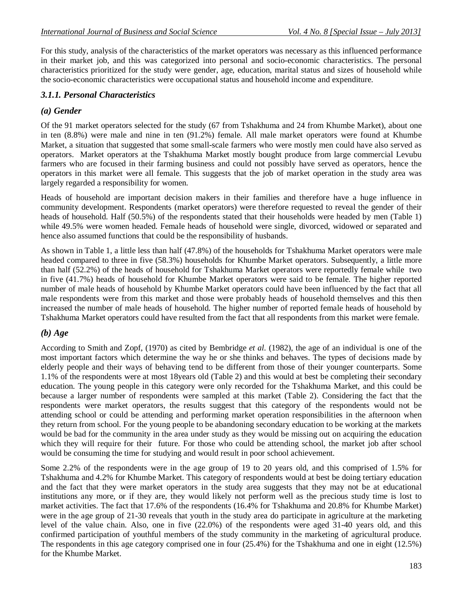For this study, analysis of the characteristics of the market operators was necessary as this influenced performance in their market job, and this was categorized into personal and socio-economic characteristics. The personal characteristics prioritized for the study were gender, age, education, marital status and sizes of household while the socio-economic characteristics were occupational status and household income and expenditure.

#### *3.1.1. Personal Characteristics*

### *(a) Gender*

Of the 91 market operators selected for the study (67 from Tshakhuma and 24 from Khumbe Market), about one in ten (8.8%) were male and nine in ten (91.2%) female. All male market operators were found at Khumbe Market, a situation that suggested that some small-scale farmers who were mostly men could have also served as operators. Market operators at the Tshakhuma Market mostly bought produce from large commercial Levubu farmers who are focused in their farming business and could not possibly have served as operators, hence the operators in this market were all female. This suggests that the job of market operation in the study area was largely regarded a responsibility for women.

Heads of household are important decision makers in their families and therefore have a huge influence in community development. Respondents (market operators) were therefore requested to reveal the gender of their heads of household. Half (50.5%) of the respondents stated that their households were headed by men (Table 1) while 49.5% were women headed. Female heads of household were single, divorced, widowed or separated and hence also assumed functions that could be the responsibility of husbands.

As shown in Table 1, a little less than half (47.8%) of the households for Tshakhuma Market operators were male headed compared to three in five (58.3%) households for Khumbe Market operators. Subsequently, a little more than half (52.2%) of the heads of household for Tshakhuma Market operators were reportedly female while two in five (41.7%) heads of household for Khumbe Market operators were said to be female. The higher reported number of male heads of household by Khumbe Market operators could have been influenced by the fact that all male respondents were from this market and those were probably heads of household themselves and this then increased the number of male heads of household. The higher number of reported female heads of household by Tshakhuma Market operators could have resulted from the fact that all respondents from this market were female.

#### *(b) Age*

According to Smith and Zopf, (1970) as cited by Bembridge *et al.* (1982), the age of an individual is one of the most important factors which determine the way he or she thinks and behaves. The types of decisions made by elderly people and their ways of behaving tend to be different from those of their younger counterparts. Some 1.1% of the respondents were at most 18years old (Table 2) and this would at best be completing their secondary education. The young people in this category were only recorded for the Tshakhuma Market, and this could be because a larger number of respondents were sampled at this market (Table 2). Considering the fact that the respondents were market operators, the results suggest that this category of the respondents would not be attending school or could be attending and performing market operation responsibilities in the afternoon when they return from school. For the young people to be abandoning secondary education to be working at the markets would be bad for the community in the area under study as they would be missing out on acquiring the education which they will require for their future. For those who could be attending school, the market job after school would be consuming the time for studying and would result in poor school achievement.

Some 2.2% of the respondents were in the age group of 19 to 20 years old, and this comprised of 1.5% for Tshakhuma and 4.2% for Khumbe Market. This category of respondents would at best be doing tertiary education and the fact that they were market operators in the study area suggests that they may not be at educational institutions any more, or if they are, they would likely not perform well as the precious study time is lost to market activities. The fact that 17.6% of the respondents (16.4% for Tshakhuma and 20.8% for Khumbe Market) were in the age group of 21-30 reveals that youth in the study area do participate in agriculture at the marketing level of the value chain. Also, one in five (22.0%) of the respondents were aged 31-40 years old, and this confirmed participation of youthful members of the study community in the marketing of agricultural produce. The respondents in this age category comprised one in four (25.4%) for the Tshakhuma and one in eight (12.5%) for the Khumbe Market.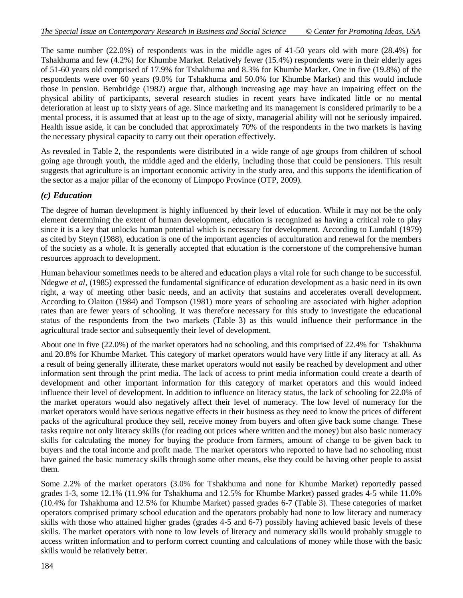The same number (22.0%) of respondents was in the middle ages of 41-50 years old with more (28.4%) for Tshakhuma and few (4.2%) for Khumbe Market. Relatively fewer (15.4%) respondents were in their elderly ages of 51-60 years old comprised of 17.9% for Tshakhuma and 8.3% for Khumbe Market. One in five (19.8%) of the respondents were over 60 years (9.0% for Tshakhuma and 50.0% for Khumbe Market) and this would include those in pension. Bembridge (1982) argue that, although increasing age may have an impairing effect on the physical ability of participants, several research studies in recent years have indicated little or no mental deterioration at least up to sixty years of age. Since marketing and its management is considered primarily to be a mental process, it is assumed that at least up to the age of sixty, managerial ability will not be seriously impaired. Health issue aside, it can be concluded that approximately 70% of the respondents in the two markets is having the necessary physical capacity to carry out their operation effectively.

As revealed in Table 2, the respondents were distributed in a wide range of age groups from children of school going age through youth, the middle aged and the elderly, including those that could be pensioners. This result suggests that agriculture is an important economic activity in the study area, and this supports the identification of the sector as a major pillar of the economy of Limpopo Province (OTP, 2009).

### *(c) Education*

The degree of human development is highly influenced by their level of education. While it may not be the only element determining the extent of human development, education is recognized as having a critical role to play since it is a key that unlocks human potential which is necessary for development. According to Lundahl (1979) as cited by Steyn (1988), education is one of the important agencies of acculturation and renewal for the members of the society as a whole. It is generally accepted that education is the cornerstone of the comprehensive human resources approach to development.

Human behaviour sometimes needs to be altered and education plays a vital role for such change to be successful. Ndegwe *et al,* (1985) expressed the fundamental significance of education development as a basic need in its own right, a way of meeting other basic needs, and an activity that sustains and accelerates overall development. According to Olaiton (1984) and Tompson (1981) more years of schooling are associated with higher adoption rates than are fewer years of schooling. It was therefore necessary for this study to investigate the educational status of the respondents from the two markets (Table 3) as this would influence their performance in the agricultural trade sector and subsequently their level of development.

About one in five (22.0%) of the market operators had no schooling, and this comprised of 22.4% for Tshakhuma and 20.8% for Khumbe Market. This category of market operators would have very little if any literacy at all. As a result of being generally illiterate, these market operators would not easily be reached by development and other information sent through the print media. The lack of access to print media information could create a dearth of development and other important information for this category of market operators and this would indeed influence their level of development. In addition to influence on literacy status, the lack of schooling for 22.0% of the market operators would also negatively affect their level of numeracy. The low level of numeracy for the market operators would have serious negative effects in their business as they need to know the prices of different packs of the agricultural produce they sell, receive money from buyers and often give back some change. These tasks require not only literacy skills (for reading out prices where written and the money) but also basic numeracy skills for calculating the money for buying the produce from farmers, amount of change to be given back to buyers and the total income and profit made. The market operators who reported to have had no schooling must have gained the basic numeracy skills through some other means, else they could be having other people to assist them.

Some 2.2% of the market operators (3.0% for Tshakhuma and none for Khumbe Market) reportedly passed grades 1-3, some 12.1% (11.9% for Tshakhuma and 12.5% for Khumbe Market) passed grades 4-5 while 11.0% (10.4% for Tshakhuma and 12.5% for Khumbe Market) passed grades 6-7 (Table 3). These categories of market operators comprised primary school education and the operators probably had none to low literacy and numeracy skills with those who attained higher grades (grades 4-5 and 6-7) possibly having achieved basic levels of these skills. The market operators with none to low levels of literacy and numeracy skills would probably struggle to access written information and to perform correct counting and calculations of money while those with the basic skills would be relatively better.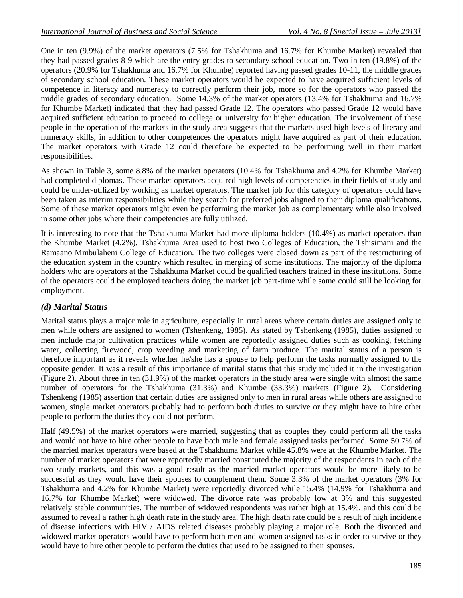One in ten (9.9%) of the market operators (7.5% for Tshakhuma and 16.7% for Khumbe Market) revealed that they had passed grades 8-9 which are the entry grades to secondary school education. Two in ten (19.8%) of the operators (20.9% for Tshakhuma and 16.7% for Khumbe) reported having passed grades 10-11, the middle grades of secondary school education. These market operators would be expected to have acquired sufficient levels of competence in literacy and numeracy to correctly perform their job, more so for the operators who passed the middle grades of secondary education. Some 14.3% of the market operators (13.4% for Tshakhuma and 16.7% for Khumbe Market) indicated that they had passed Grade 12. The operators who passed Grade 12 would have acquired sufficient education to proceed to college or university for higher education. The involvement of these people in the operation of the markets in the study area suggests that the markets used high levels of literacy and numeracy skills, in addition to other competences the operators might have acquired as part of their education. The market operators with Grade 12 could therefore be expected to be performing well in their market responsibilities.

As shown in Table 3, some 8.8% of the market operators (10.4% for Tshakhuma and 4.2% for Khumbe Market) had completed diplomas. These market operators acquired high levels of competencies in their fields of study and could be under-utilized by working as market operators. The market job for this category of operators could have been taken as interim responsibilities while they search for preferred jobs aligned to their diploma qualifications. Some of these market operators might even be performing the market job as complementary while also involved in some other jobs where their competencies are fully utilized.

It is interesting to note that the Tshakhuma Market had more diploma holders (10.4%) as market operators than the Khumbe Market (4.2%). Tshakhuma Area used to host two Colleges of Education, the Tshisimani and the Ramaano Mmbulaheni College of Education. The two colleges were closed down as part of the restructuring of the education system in the country which resulted in merging of some institutions. The majority of the diploma holders who are operators at the Tshakhuma Market could be qualified teachers trained in these institutions. Some of the operators could be employed teachers doing the market job part-time while some could still be looking for employment.

### *(d) Marital Status*

Marital status plays a major role in agriculture, especially in rural areas where certain duties are assigned only to men while others are assigned to women (Tshenkeng, 1985). As stated by Tshenkeng (1985), duties assigned to men include major cultivation practices while women are reportedly assigned duties such as cooking, fetching water, collecting firewood, crop weeding and marketing of farm produce. The marital status of a person is therefore important as it reveals whether he/she has a spouse to help perform the tasks normally assigned to the opposite gender. It was a result of this importance of marital status that this study included it in the investigation (Figure 2). About three in ten (31.9%) of the market operators in the study area were single with almost the same number of operators for the Tshakhuma (31.3%) and Khumbe (33.3%) markets (Figure 2). Considering Tshenkeng (1985) assertion that certain duties are assigned only to men in rural areas while others are assigned to women, single market operators probably had to perform both duties to survive or they might have to hire other people to perform the duties they could not perform.

Half (49.5%) of the market operators were married, suggesting that as couples they could perform all the tasks and would not have to hire other people to have both male and female assigned tasks performed. Some 50.7% of the married market operators were based at the Tshakhuma Market while 45.8% were at the Khumbe Market. The number of market operators that were reportedly married constituted the majority of the respondents in each of the two study markets, and this was a good result as the married market operators would be more likely to be successful as they would have their spouses to complement them. Some 3.3% of the market operators (3% for Tshakhuma and 4.2% for Khumbe Market) were reportedly divorced while 15.4% (14.9% for Tshakhuma and 16.7% for Khumbe Market) were widowed. The divorce rate was probably low at 3% and this suggested relatively stable communities. The number of widowed respondents was rather high at 15.4%, and this could be assumed to reveal a rather high death rate in the study area. The high death rate could be a result of high incidence of disease infections with HIV / AIDS related diseases probably playing a major role. Both the divorced and widowed market operators would have to perform both men and women assigned tasks in order to survive or they would have to hire other people to perform the duties that used to be assigned to their spouses.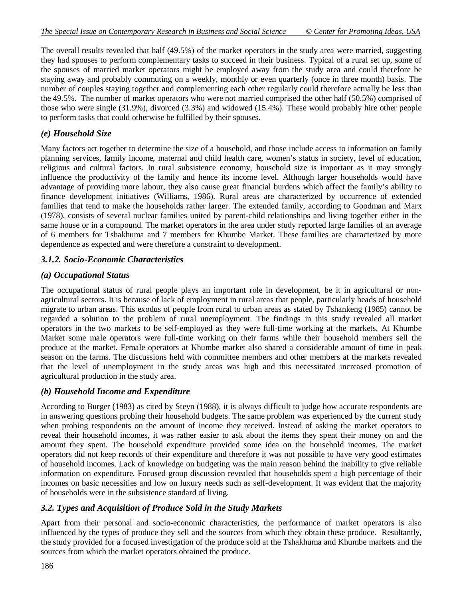The overall results revealed that half (49.5%) of the market operators in the study area were married, suggesting they had spouses to perform complementary tasks to succeed in their business. Typical of a rural set up, some of the spouses of married market operators might be employed away from the study area and could therefore be staying away and probably commuting on a weekly, monthly or even quarterly (once in three month) basis. The number of couples staying together and complementing each other regularly could therefore actually be less than the 49.5%. The number of market operators who were not married comprised the other half (50.5%) comprised of those who were single (31.9%), divorced (3.3%) and widowed (15.4%). These would probably hire other people to perform tasks that could otherwise be fulfilled by their spouses.

### *(e) Household Size*

Many factors act together to determine the size of a household, and those include access to information on family planning services, family income, maternal and child health care, women's status in society, level of education, religious and cultural factors. In rural subsistence economy, household size is important as it may strongly influence the productivity of the family and hence its income level. Although larger households would have advantage of providing more labour, they also cause great financial burdens which affect the family's ability to finance development initiatives (Williams, 1986). Rural areas are characterized by occurrence of extended families that tend to make the households rather larger. The extended family, according to Goodman and Marx (1978), consists of several nuclear families united by parent-child relationships and living together either in the same house or in a compound. The market operators in the area under study reported large families of an average of 6 members for Tshakhuma and 7 members for Khumbe Market. These families are characterized by more dependence as expected and were therefore a constraint to development.

### *3.1.2. Socio-Economic Characteristics*

#### *(a) Occupational Status*

The occupational status of rural people plays an important role in development, be it in agricultural or nonagricultural sectors. It is because of lack of employment in rural areas that people, particularly heads of household migrate to urban areas. This exodus of people from rural to urban areas as stated by Tshankeng (1985) cannot be regarded a solution to the problem of rural unemployment. The findings in this study revealed all market operators in the two markets to be self-employed as they were full-time working at the markets. At Khumbe Market some male operators were full-time working on their farms while their household members sell the produce at the market. Female operators at Khumbe market also shared a considerable amount of time in peak season on the farms. The discussions held with committee members and other members at the markets revealed that the level of unemployment in the study areas was high and this necessitated increased promotion of agricultural production in the study area.

#### *(b) Household Income and Expenditure*

According to Burger (1983) as cited by Steyn (1988), it is always difficult to judge how accurate respondents are in answering questions probing their household budgets. The same problem was experienced by the current study when probing respondents on the amount of income they received. Instead of asking the market operators to reveal their household incomes, it was rather easier to ask about the items they spent their money on and the amount they spent. The household expenditure provided some idea on the household incomes. The market operators did not keep records of their expenditure and therefore it was not possible to have very good estimates of household incomes. Lack of knowledge on budgeting was the main reason behind the inability to give reliable information on expenditure. Focused group discussion revealed that households spent a high percentage of their incomes on basic necessities and low on luxury needs such as self-development. It was evident that the majority of households were in the subsistence standard of living.

### *3.2. Types and Acquisition of Produce Sold in the Study Markets*

Apart from their personal and socio-economic characteristics, the performance of market operators is also influenced by the types of produce they sell and the sources from which they obtain these produce. Resultantly, the study provided for a focused investigation of the produce sold at the Tshakhuma and Khumbe markets and the sources from which the market operators obtained the produce.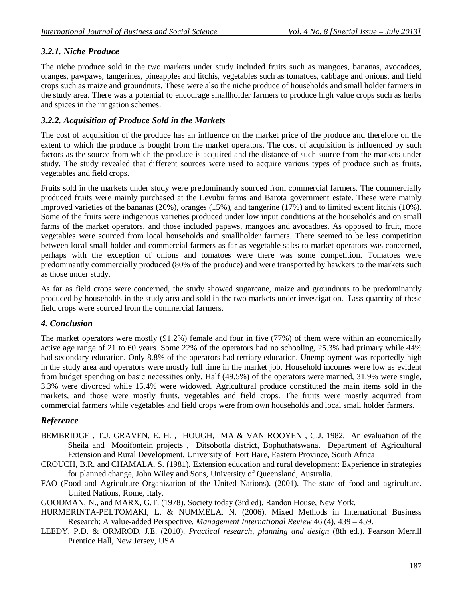### *3.2.1. Niche Produce*

The niche produce sold in the two markets under study included fruits such as mangoes, bananas, avocadoes, oranges, pawpaws, tangerines, pineapples and litchis, vegetables such as tomatoes, cabbage and onions, and field crops such as maize and groundnuts. These were also the niche produce of households and small holder farmers in the study area. There was a potential to encourage smallholder farmers to produce high value crops such as herbs and spices in the irrigation schemes.

### *3.2.2. Acquisition of Produce Sold in the Markets*

The cost of acquisition of the produce has an influence on the market price of the produce and therefore on the extent to which the produce is bought from the market operators. The cost of acquisition is influenced by such factors as the source from which the produce is acquired and the distance of such source from the markets under study. The study revealed that different sources were used to acquire various types of produce such as fruits, vegetables and field crops.

Fruits sold in the markets under study were predominantly sourced from commercial farmers. The commercially produced fruits were mainly purchased at the Levubu farms and Barota government estate. These were mainly improved varieties of the bananas (20%), oranges (15%), and tangerine (17%) and to limited extent litchis (10%). Some of the fruits were indigenous varieties produced under low input conditions at the households and on small farms of the market operators, and those included papaws, mangoes and avocadoes. As opposed to fruit, more vegetables were sourced from local households and smallholder farmers. There seemed to be less competition between local small holder and commercial farmers as far as vegetable sales to market operators was concerned, perhaps with the exception of onions and tomatoes were there was some competition. Tomatoes were predominantly commercially produced (80% of the produce) and were transported by hawkers to the markets such as those under study.

As far as field crops were concerned, the study showed sugarcane, maize and groundnuts to be predominantly produced by households in the study area and sold in the two markets under investigation. Less quantity of these field crops were sourced from the commercial farmers.

### *4. Conclusion*

The market operators were mostly (91.2%) female and four in five (77%) of them were within an economically active age range of 21 to 60 years. Some 22% of the operators had no schooling, 25.3% had primary while 44% had secondary education. Only 8.8% of the operators had tertiary education. Unemployment was reportedly high in the study area and operators were mostly full time in the market job. Household incomes were low as evident from budget spending on basic necessities only. Half (49.5%) of the operators were married, 31.9% were single, 3.3% were divorced while 15.4% were widowed. Agricultural produce constituted the main items sold in the markets, and those were mostly fruits, vegetables and field crops. The fruits were mostly acquired from commercial farmers while vegetables and field crops were from own households and local small holder farmers.

### *Reference*

- BEMBRIDGE , T.J. GRAVEN, E. H. , HOUGH, MA & VAN ROOYEN , C.J. 1982. An evaluation of the Sheila and Mooifontein projects , Ditsobotla district, Bophuthatswana. Department of Agricultural Extension and Rural Development. University of Fort Hare, Eastern Province, South Africa
- CROUCH, B.R. and CHAMALA, S. (1981). Extension education and rural development: Experience in strategies for planned change, John Wiley and Sons, University of Queensland, Australia.
- FAO (Food and Agriculture Organization of the United Nations). (2001). The state of food and agriculture. United Nations, Rome, Italy.
- GOODMAN, N., and MARX, G.T. (1978). Society today (3rd ed). Randon House, New York.
- HURMERINTA-PELTOMAKI, L. & NUMMELA, N. (2006). Mixed Methods in International Business Research: A value-added Perspective*. Management International Review* 46 (4), 439 – 459.
- LEEDY, P.D. & ORMROD, J.E. (2010). *Practical research, planning and design* (8th ed.). Pearson Merrill Prentice Hall, New Jersey, USA.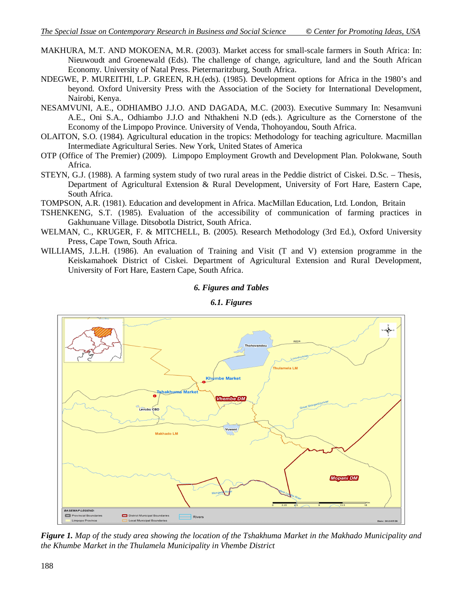- MAKHURA, M.T. AND MOKOENA, M.R. (2003). Market access for small-scale farmers in South Africa: In: Nieuwoudt and Groenewald (Eds). The challenge of change, agriculture, land and the South African Economy. University of Natal Press. Pietermaritzburg, South Africa.
- NDEGWE, P. MUREITHI, L.P. GREEN, R.H.(eds). (1985). Development options for Africa in the 1980's and beyond. Oxford University Press with the Association of the Society for International Development, Nairobi, Kenya.
- NESAMVUNI, A.E., ODHIAMBO J.J.O. AND DAGADA, M.C. (2003). Executive Summary In: Nesamvuni A.E., Oni S.A., Odhiambo J.J.O and Nthakheni N.D (eds.). Agriculture as the Cornerstone of the Economy of the Limpopo Province. University of Venda, Thohoyandou, South Africa.
- OLAITON, S.O. (1984). Agricultural education in the tropics: Methodology for teaching agriculture. Macmillan Intermediate Agricultural Series. New York, United States of America
- OTP (Office of The Premier) (2009). Limpopo Employment Growth and Development Plan. Polokwane, South Africa.
- STEYN, G.J. (1988). A farming system study of two rural areas in the Peddie district of Ciskei. D.Sc. Thesis, Department of Agricultural Extension & Rural Development, University of Fort Hare, Eastern Cape, South Africa.

TOMPSON, A.R. (1981). Education and development in Africa. MacMillan Education, Ltd. London, Britain

- TSHENKENG, S.T. (1985). Evaluation of the accessibility of communication of farming practices in Gakhunuane Village. Ditsobotla District, South Africa.
- WELMAN, C., KRUGER, F. & MITCHELL, B. (2005). Research Methodology (3rd Ed.), Oxford University Press, Cape Town, South Africa.
- WILLIAMS, J.L.H. (1986). An evaluation of Training and Visit (T and V) extension programme in the Keiskamahoek District of Ciskei. Department of Agricultural Extension and Rural Development, University of Fort Hare, Eastern Cape, South Africa.

#### *6. Figures and Tables*



#### *6.1. Figures*

*Figure 1. Map of the study area showing the location of the Tshakhuma Market in the Makhado Municipality and the Khumbe Market in the Thulamela Municipality in Vhembe District*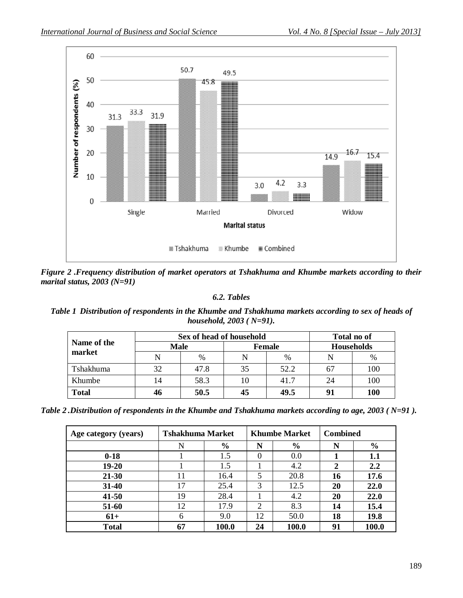

*Figure 2 .Frequency distribution of market operators at Tshakhuma and Khumbe markets according to their marital status, 2003 (N=91)*

#### *6.2. Tables*

*Table 1 Distribution of respondents in the Khumbe and Tshakhuma markets according to sex of heads of household, 2003 ( N=91).*

| Name of the<br>market | Sex of head of household |      |               |      | Total no of       |            |
|-----------------------|--------------------------|------|---------------|------|-------------------|------------|
|                       | <b>Male</b>              |      | <b>Female</b> |      | <b>Households</b> |            |
|                       | N                        | $\%$ | N             | $\%$ | N                 | $\%$       |
| Tshakhuma             | 32                       | 47.8 | 35            | 52.2 | 67                | 100        |
| Khumbe                | 14                       | 58.3 | 10            | 41.7 | 24                | 100        |
| <b>Total</b>          | 46                       | 50.5 | 45            | 49.5 | 91                | <b>100</b> |

*Table 2 .Distribution of respondents in the Khumbe and Tshakhuma markets according to age, 2003 ( N=91 ).*

| Age category (years) | <b>Tshakhuma Market</b> |               | <b>Khumbe Market</b> |               | <b>Combined</b> |               |
|----------------------|-------------------------|---------------|----------------------|---------------|-----------------|---------------|
|                      | N                       | $\frac{6}{9}$ | N                    | $\frac{6}{9}$ | N               | $\frac{6}{6}$ |
| $0-18$               |                         | 1.5           | $\theta$             | 0.0           |                 | 1.1           |
| $19 - 20$            |                         | 1.5           |                      | 4.2           | 2               | 2.2           |
| 21-30                | 11                      | 16.4          | 5                    | 20.8          | 16              | 17.6          |
| 31-40                | 17                      | 25.4          | 3                    | 12.5          | 20              | 22.0          |
| $41 - 50$            | 19                      | 28.4          |                      | 4.2           | 20              | 22.0          |
| 51-60                | 12                      | 17.9          | $\overline{2}$       | 8.3           | 14              | 15.4          |
| $61+$                | 6                       | 9.0           | 12                   | 50.0          | 18              | 19.8          |
| <b>Total</b>         | 67                      | 100.0         | 24                   | 100.0         | 91              | 100.0         |